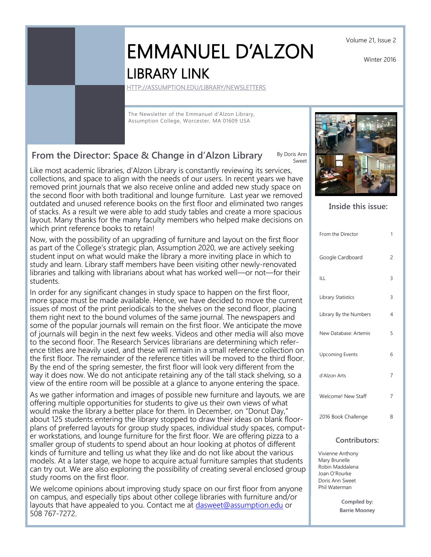Volume 21, Issue 2

Winter 2016

# EMMANUEL D'ALZON LIBRARY LINK

[HTTP://ASSUMPTION.EDU/LIBRARY/NEWSLETTERS](http://assumption.edu/library/newsletters)

The Newsletter of the Emmanuel d'Alzon Library, Assumption College, Worcester, MA 01609 USA

## **From the Director: Space & Change in d'Alzon Library**

Like most academic libraries, d'Alzon Library is constantly reviewing its services, collections, and space to align with the needs of our users. In recent years we have removed print journals that we also receive online and added new study space on the second floor with both traditional and lounge furniture. Last year we removed outdated and unused reference books on the first floor and eliminated two ranges of stacks. As a result we were able to add study tables and create a more spacious layout. Many thanks for the many faculty members who helped make decisions on which print reference books to retain!

Now, with the possibility of an upgrading of furniture and layout on the first floor as part of the College's strategic plan, Assumption 2020, we are actively seeking student input on what would make the library a more inviting place in which to study and learn. Library staff members have been visiting other newly-renovated libraries and talking with librarians about what has worked well—or not—for their students.

In order for any significant changes in study space to happen on the first floor, more space must be made available. Hence, we have decided to move the current issues of most of the print periodicals to the shelves on the second floor, placing them right next to the bound volumes of the same journal. The newspapers and some of the popular journals will remain on the first floor. We anticipate the move of journals will begin in the next few weeks. Videos and other media will also move to the second floor. The Research Services librarians are determining which reference titles are heavily used, and these will remain in a small reference collection on the first floor. The remainder of the reference titles will be moved to the third floor. By the end of the spring semester, the first floor will look very different from the way it does now. We do not anticipate retaining any of the tall stack shelving, so a view of the entire room will be possible at a glance to anyone entering the space.

As we gather information and images of possible new furniture and layouts, we are offering multiple opportunities for students to give us their own views of what would make the library a better place for them. In December, on "Donut Day," about 125 students entering the library stopped to draw their ideas on blank floorplans of preferred layouts for group study spaces, individual study spaces, computer workstations, and lounge furniture for the first floor. We are offering pizza to a smaller group of students to spend about an hour looking at photos of different kinds of furniture and telling us what they like and do not like about the various models. At a later stage, we hope to acquire actual furniture samples that students can try out. We are also exploring the possibility of creating several enclosed group study rooms on the first floor.

We welcome opinions about improving study space on our first floor from anyone on campus, and especially tips about other college libraries with furniture and/or layouts that have appealed to you. Contact me at [dasweet@assumption.edu](mailto:dasweet@assumption.edu) or 508 767-7272.

By Doris Ann Sweet

#### **Inside this issue:**

| From the Director      | 1              |
|------------------------|----------------|
| Google Cardboard       | 2              |
| ILL                    | 3              |
| Library Statistics     | 3              |
| Library By the Numbers | $\overline{4}$ |
| New Database: Artemis  | 5              |
| <b>Upcoming Events</b> | 6              |
| d'Alzon Arts           | $\overline{7}$ |
| Welcome! New Staff     | 7              |
| 2016 Book Challenge    | 8              |

#### **Contributors:**

Vivienne Anthony Mary Brunelle Robin Maddalena Joan O'Rourke Doris Ann Sweet Phil Waterman

> **Compiled by: Barrie Mooney**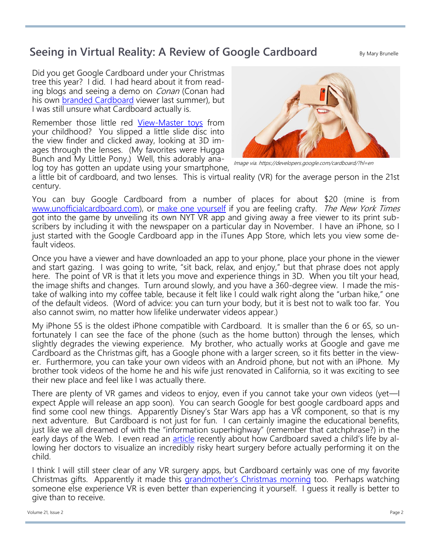## **Seeing in Virtual Reality: A Review of Google Cardboard**

By Mary Brunelle

Did you get Google Cardboard under your Christmas tree this year? I did. I had heard about it from reading blogs and seeing a demo on *Conan* (Conan had his own [branded Cardboard](http://teamcoco.com/content/conan-360-request-cardboard) viewer last summer), but I was still unsure what Cardboard actually is.

Remember those little red View-[Master toys](https://en.wikipedia.org/wiki/View-Master) from your childhood? You slipped a little slide disc into the view finder and clicked away, looking at 3D images through the lenses. (My favorites were Hugga Bunch and My Little Pony.) Well, this adorably analog toy has gotten an update using your smartphone,



Image via. https://developers.google.com/cardboard/?hl=en

a little bit of cardboard, and two lenses. This is virtual reality (VR) for the average person in the 21st century.

You can buy Google Cardboard from a number of places for about \$20 (mine is from [www.unofficialcardboard.com\),](http://www.unofficialcardboard.com/) or [make one yourself](http://www.instructables.com/id/How-to-make-Google-Cardboard/) if you are feeling crafty. The New York Times got into the game by unveiling its own NYT VR app and giving away a free viewer to its print subscribers by including it with the newspaper on a particular day in November. I have an iPhone, so I just started with the Google Cardboard app in the iTunes App Store, which lets you view some default videos.

Once you have a viewer and have downloaded an app to your phone, place your phone in the viewer and start gazing. I was going to write, "sit back, relax, and enjoy," but that phrase does not apply here. The point of VR is that it lets you move and experience things in 3D. When you tilt your head, the image shifts and changes. Turn around slowly, and you have a 360-degree view. I made the mistake of walking into my coffee table, because it felt like I could walk right along the "urban hike," one of the default videos. (Word of advice: you can turn your body, but it is best not to walk too far. You also cannot swim, no matter how lifelike underwater videos appear.)

My iPhone 5S is the oldest iPhone compatible with Cardboard. It is smaller than the 6 or 6S, so unfortunately I can see the face of the phone (such as the home button) through the lenses, which slightly degrades the viewing experience. My brother, who actually works at Google and gave me Cardboard as the Christmas gift, has a Google phone with a larger screen, so it fits better in the viewer. Furthermore, you can take your own videos with an Android phone, but not with an iPhone. My brother took videos of the home he and his wife just renovated in California, so it was exciting to see their new place and feel like I was actually there.

There are plenty of VR games and videos to enjoy, even if you cannot take your own videos (yet—I expect Apple will release an app soon). You can search Google for best google cardboard apps and find some cool new things. Apparently Disney's Star Wars app has a VR component, so that is my next adventure. But Cardboard is not just for fun. I can certainly imagine the educational benefits, just like we all dreamed of with the "information superhighway" (remember that catchphrase?) in the early days of the Web. I even read an [article](http://uploadvr.com/virtual-reality-helps-saves-baby-girls-life/) recently about how Cardboard saved a child's life by allowing her doctors to visualize an incredibly risky heart surgery before actually performing it on the child.

I think I will still steer clear of any VR surgery apps, but Cardboard certainly was one of my favorite Christmas gifts. Apparently it made this [grandmother's Christmas morning](https://www.youtube.com/watch?v=SiVWhYZUjpQ) too. Perhaps watching someone else experience VR is even better than experiencing it yourself. I guess it really is better to give than to receive.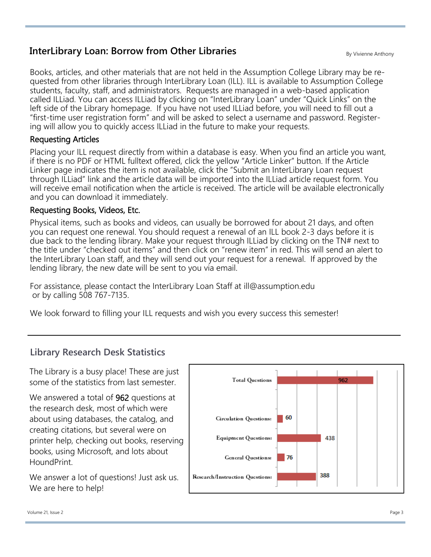## **InterLibrary Loan: Borrow from Other Libraries**

Books, articles, and other materials that are not held in the Assumption College Library may be requested from other libraries through InterLibrary Loan (ILL). ILL is available to Assumption College students, faculty, staff, and administrators. Requests are managed in a web-based application called ILLiad. You can access ILLiad by clicking on "InterLibrary Loan" under "Quick Links" on the left side of the Library homepage. If you have not used ILLiad before, you will need to fill out a "first-time user registration form" and will be asked to select a username and password. Registering will allow you to quickly access ILLiad in the future to make your requests.

#### Requesting Articles

Placing your ILL request directly from within a database is easy. When you find an article you want, if there is no PDF or HTML fulltext offered, click the yellow "Article Linker" button. If the Article Linker page indicates the item is not available, click the "Submit an InterLibrary Loan request through ILLiad" link and the article data will be imported into the ILLiad article request form. You will receive email notification when the article is received. The article will be available electronically and you can download it immediately.

#### Requesting Books, Videos, Etc.

Physical items, such as books and videos, can usually be borrowed for about 21 days, and often you can request one renewal. You should request a renewal of an ILL book 2-3 days before it is due back to the lending library. Make your request through ILLiad by clicking on the TN# next to the title under "checked out items" and then click on "renew item" in red. This will send an alert to the InterLibrary Loan staff, and they will send out your request for a renewal. If approved by the lending library, the new date will be sent to you via email.

For assistance, please contact the InterLibrary Loan Staff at ill@assumption.edu or by calling 508 767-7135.

We look forward to filling your ILL requests and wish you every success this semester!

### **Library Research Desk Statistics**

The Library is a busy place! These are just some of the statistics from last semester.

We answered a total of 962 questions at the research desk, most of which were about using databases, the catalog, and creating citations, but several were on printer help, checking out books, reserving books, using Microsoft, and lots about HoundPrint.

We answer a lot of questions! Just ask us. We are here to help!

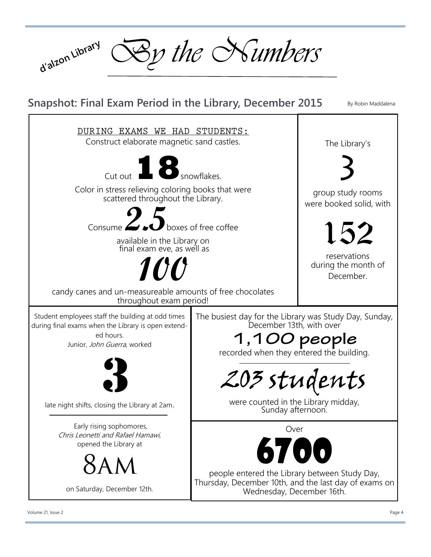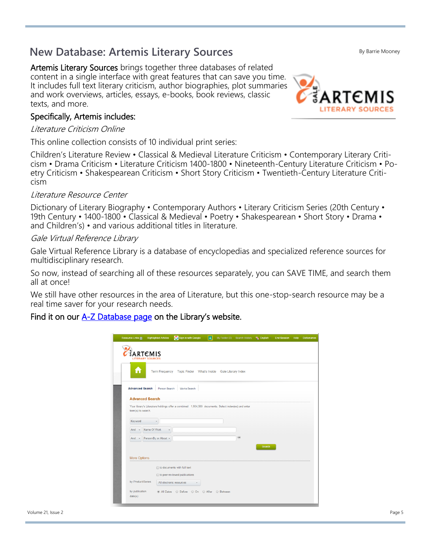# **New Database: Artemis Literary Sources**

Artemis Literary Sources brings together three databases of related content in a single interface with great features that can save you time. It includes full text literary criticism, author biographies, plot summaries and work overviews, articles, essays, e-books, book reviews, classic texts, and more.

## Specifically, Artemis includes:

## Literature Criticism Online

This online collection consists of 10 individual print series:

Children's Literature Review • Classical & Medieval Literature Criticism • Contemporary Literary Criticism • Drama Criticism • Literature Criticism 1400-1800 • Nineteenth-Century Literature Criticism • Poetry Criticism • Shakespearean Criticism • Short Story Criticism • Twentieth-Century Literature Criticism

#### Literature Resource Center

Dictionary of Literary Biography • Contemporary Authors • Literary Criticism Series (20th Century • 19th Century • 1400-1800 • Classical & Medieval • Poetry • Shakespearean • Short Story • Drama • and Children's) • and various additional titles in literature.

#### Gale Virtual Reference Library

Gale Virtual Reference Library is a database of encyclopedias and specialized reference sources for multidisciplinary research.

So now, instead of searching all of these resources separately, you can SAVE TIME, and search them all at once!

We still have other resources in the area of Literature, but this one-stop-search resource may be a real time saver for your research needs.

### Find it on our  $A-Z$  Database page on the Library's website.

| <b>Resource Links 2</b>                          | <b>Highlighted Articles</b> | Sign in with Google                                                                                 | $\vert$ 4 | My Folder (0) Search History <b>The English</b> |               | <b>End Session Help</b> | <b>Dictionaries</b> |
|--------------------------------------------------|-----------------------------|-----------------------------------------------------------------------------------------------------|-----------|-------------------------------------------------|---------------|-------------------------|---------------------|
| ARTEMIS<br><b>LITERARY SOURCES</b>               |                             |                                                                                                     |           |                                                 |               |                         |                     |
| п                                                |                             | Term Frequency Topic Finder What's Inside Gale Literary Index                                       |           |                                                 |               |                         |                     |
| <b>Advanced Search</b><br><b>Advanced Search</b> | Person Search               | Works Search                                                                                        |           |                                                 |               |                         |                     |
| term(s) to search.                               |                             | Your library's Literature holdings offer a combined 1,934,569 documents. Select index(es) and enter |           |                                                 |               |                         |                     |
| Keyword                                          | $\;$                        |                                                                                                     |           |                                                 |               |                         |                     |
| And $\sim$                                       | Name Of Work<br>$\;$        |                                                                                                     |           |                                                 |               |                         |                     |
| And $-$                                          | Person-By or About -        |                                                                                                     |           | $^{\circ}$                                      |               |                         |                     |
| <b>More Options</b>                              |                             |                                                                                                     |           |                                                 | <b>Search</b> |                         |                     |
|                                                  |                             | to documents with full text                                                                         |           |                                                 |               |                         |                     |
|                                                  |                             | to peer-reviewed publications                                                                       |           |                                                 |               |                         |                     |
| by Product/Series                                |                             | All electronic resources                                                                            |           |                                                 |               |                         |                     |
| by publication<br>date(s):                       |                             | ◉ All Dates ⓒ Before ⓒ On ⓒ After ⓒ Between                                                         |           |                                                 |               |                         |                     |



By Barrie Mooney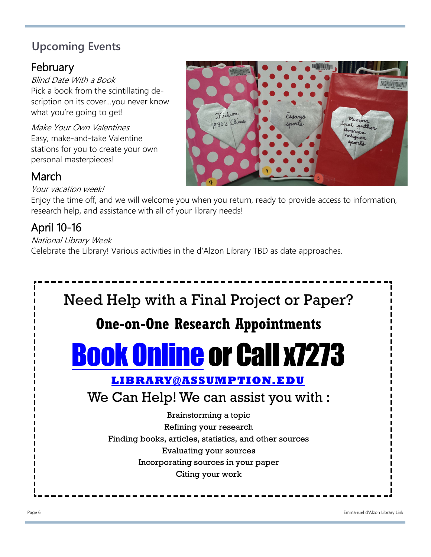# **Upcoming Events**

## February

Blind Date With a Book Pick a book from the scintillating description on its cover...you never know what you're going to get!

Make Your Own Valentines Easy, make-and-take Valentine stations for you to create your own personal masterpieces!

# March

Your vacation week!

Enjoy the time off, and we will welcome you when you return, ready to provide access to information, research help, and assistance with all of your library needs!

# April 10-16

National Library Week Celebrate the Library! Various activities in the d'Alzon Library TBD as date approaches.



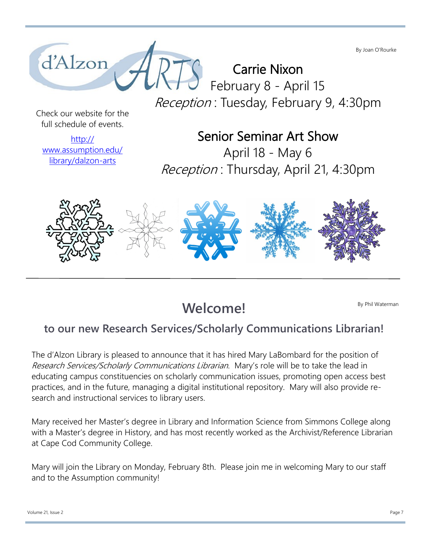By Joan O'Rourke



Carrie Nixon February 8 - April 15 Reception: Tuesday, February 9, 4:30pm

Check our website for the full schedule of events.

[http://](http://www.assumption.edu/library/dalzon-arts) [www.assumption.edu/](http://www.assumption.edu/library/dalzon-arts) [library/dalzon](http://www.assumption.edu/library/dalzon-arts)-arts

# Senior Seminar Art Show

April 18 - May 6 Reception : Thursday, April 21, 4:30pm



**Welcome!** 

By Phil Waterman

## **to our new Research Services/Scholarly Communications Librarian!**

The d'Alzon Library is pleased to announce that it has hired Mary LaBombard for the position of Research Services/Scholarly Communications Librarian. Mary's role will be to take the lead in educating campus constituencies on scholarly communication issues, promoting open access best practices, and in the future, managing a digital institutional repository. Mary will also provide research and instructional services to library users.

Mary received her Master's degree in Library and Information Science from Simmons College along with a Master's degree in History, and has most recently worked as the Archivist/Reference Librarian at Cape Cod Community College.

Mary will join the Library on Monday, February 8th. Please join me in welcoming Mary to our staff and to the Assumption community!